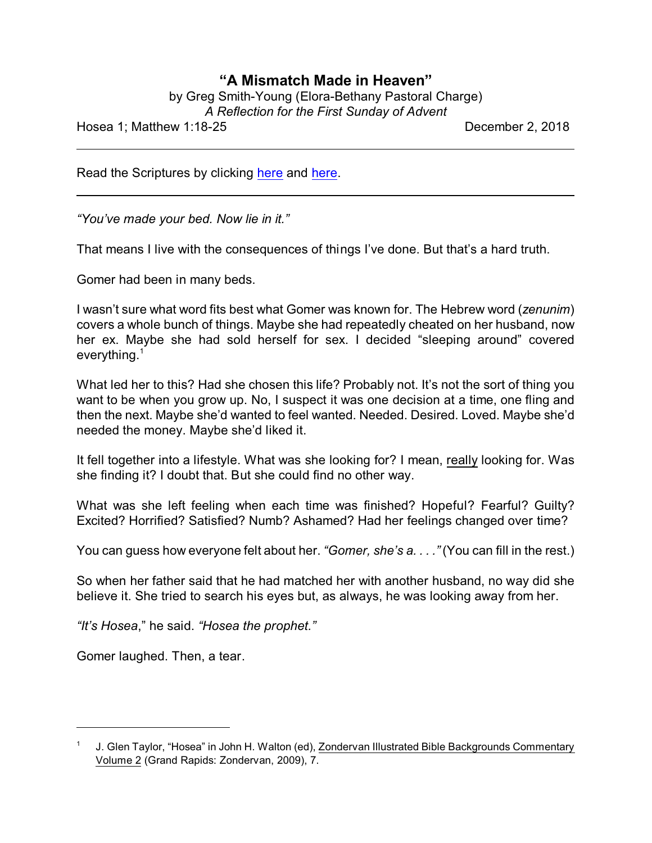## **"A Mismatch Made in Heaven"**

| by Greg Smith-Young (Elora-Bethany Pastoral Charge) |
|-----------------------------------------------------|
| A Reflection for the First Sunday of Advent         |

Hosea 1; Matthew 1:18-25 December 2, 2018

Read the Scriptures by clicking [here](https://www.biblegateway.com/passage/?search=Hosea+1&version=CEB) and [here](https://www.biblegateway.com/passage/?search=Matthew+1%3A18-25&version=CEB).

*"You've made your bed. Now lie in it."*

That means I live with the consequences of things I've done. But that's a hard truth.

Gomer had been in many beds.

I wasn't sure what word fits best what Gomer was known for. The Hebrew word (*zenunim*) covers a whole bunch of things. Maybe she had repeatedly cheated on her husband, now her ex. Maybe she had sold herself for sex. I decided "sleeping around" covered everything.<sup>1</sup>

What led her to this? Had she chosen this life? Probably not. It's not the sort of thing you want to be when you grow up. No, I suspect it was one decision at a time, one fling and then the next. Maybe she'd wanted to feel wanted. Needed. Desired. Loved. Maybe she'd needed the money. Maybe she'd liked it.

It fell together into a lifestyle. What was she looking for? I mean, really looking for. Was she finding it? I doubt that. But she could find no other way.

What was she left feeling when each time was finished? Hopeful? Fearful? Guilty? Excited? Horrified? Satisfied? Numb? Ashamed? Had her feelings changed over time?

You can guess how everyone felt about her. *"Gomer, she's a. . . ."* (You can fill in the rest.)

So when her father said that he had matched her with another husband, no way did she believe it. She tried to search his eyes but, as always, he was looking away from her.

*"It's Hosea*," he said. *"Hosea the prophet."*

Gomer laughed. Then, a tear.

<sup>1</sup> J. Glen Taylor, "Hosea" in John H. Walton (ed), Zondervan Illustrated Bible Backgrounds Commentary Volume 2 (Grand Rapids: Zondervan, 2009), 7.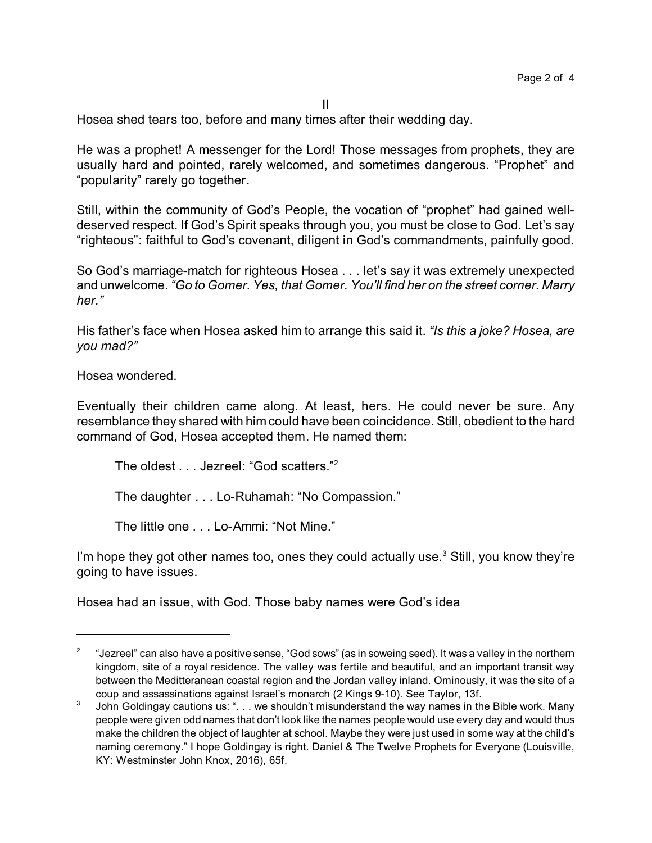Hosea shed tears too, before and many times after their wedding day.

He was a prophet! A messenger for the Lord! Those messages from prophets, they are usually hard and pointed, rarely welcomed, and sometimes dangerous. "Prophet" and "popularity" rarely go together.

Still, within the community of God's People, the vocation of "prophet" had gained welldeserved respect. If God's Spirit speaks through you, you must be close to God. Let's say "righteous": faithful to God's covenant, diligent in God's commandments, painfully good.

So God's marriage-match for righteous Hosea . . . let's say it was extremely unexpected and unwelcome. *"Go to Gomer. Yes, that Gomer. You'll find her on the street corner. Marry her."*

His father's face when Hosea asked him to arrange this said it. *"Is this a joke? Hosea, are you mad?"*

Hosea wondered.

Eventually their children came along. At least, hers. He could never be sure. Any resemblance they shared with him could have been coincidence. Still, obedient to the hard command of God, Hosea accepted them. He named them:

The oldest . . . Jezreel: "God scatters."<sup>2</sup>

The daughter . . . Lo-Ruhamah: "No Compassion."

The little one . . . Lo-Ammi: "Not Mine."

I'm hope they got other names too, ones they could actually use. $^3$  Still, you know they're going to have issues.

Hosea had an issue, with God. Those baby names were God's idea

<sup>2</sup> "Jezreel" can also have a positive sense, "God sows" (as in soweing seed). It was a valley in the northern kingdom, site of a royal residence. The valley was fertile and beautiful, and an important transit way between the Meditteranean coastal region and the Jordan valley inland. Ominously, it was the site of a coup and assassinations against Israel's monarch (2 Kings 9-10). See Taylor, 13f.

<sup>3</sup> John Goldingay cautions us: ". . . we shouldn't misunderstand the way names in the Bible work. Many people were given odd names that don't look like the names people would use every day and would thus make the children the object of laughter at school. Maybe they were just used in some way at the child's naming ceremony." I hope Goldingay is right. Daniel & The Twelve Prophets for Everyone (Louisville, KY: Westminster John Knox, 2016), 65f.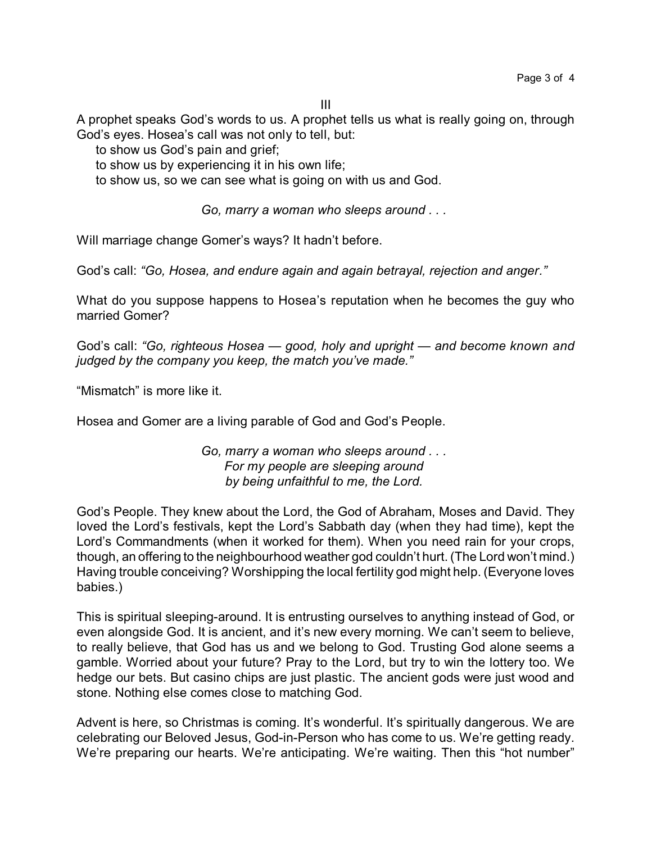III

A prophet speaks God's words to us. A prophet tells us what is really going on, through God's eyes. Hosea's call was not only to tell, but:

to show us God's pain and grief;

to show us by experiencing it in his own life;

to show us, so we can see what is going on with us and God.

*Go, marry a woman who sleeps around . . .* 

Will marriage change Gomer's ways? It hadn't before.

God's call: *"Go, Hosea, and endure again and again betrayal, rejection and anger."*

What do you suppose happens to Hosea's reputation when he becomes the guy who married Gomer?

God's call: *"Go, righteous Hosea — good, holy and upright — and become known and judged by the company you keep, the match you've made."*

"Mismatch" is more like it.

Hosea and Gomer are a living parable of God and God's People.

*Go, marry a woman who sleeps around . . . For my people are sleeping around by being unfaithful to me, the Lord.* 

God's People. They knew about the Lord, the God of Abraham, Moses and David. They loved the Lord's festivals, kept the Lord's Sabbath day (when they had time), kept the Lord's Commandments (when it worked for them). When you need rain for your crops, though, an offering to the neighbourhood weather god couldn't hurt. (The Lord won't mind.) Having trouble conceiving? Worshipping the local fertility god might help. (Everyone loves babies.)

This is spiritual sleeping-around. It is entrusting ourselves to anything instead of God, or even alongside God. It is ancient, and it's new every morning. We can't seem to believe, to really believe, that God has us and we belong to God. Trusting God alone seems a gamble. Worried about your future? Pray to the Lord, but try to win the lottery too. We hedge our bets. But casino chips are just plastic. The ancient gods were just wood and stone. Nothing else comes close to matching God.

Advent is here, so Christmas is coming. It's wonderful. It's spiritually dangerous. We are celebrating our Beloved Jesus, God-in-Person who has come to us. We're getting ready. We're preparing our hearts. We're anticipating. We're waiting. Then this "hot number"